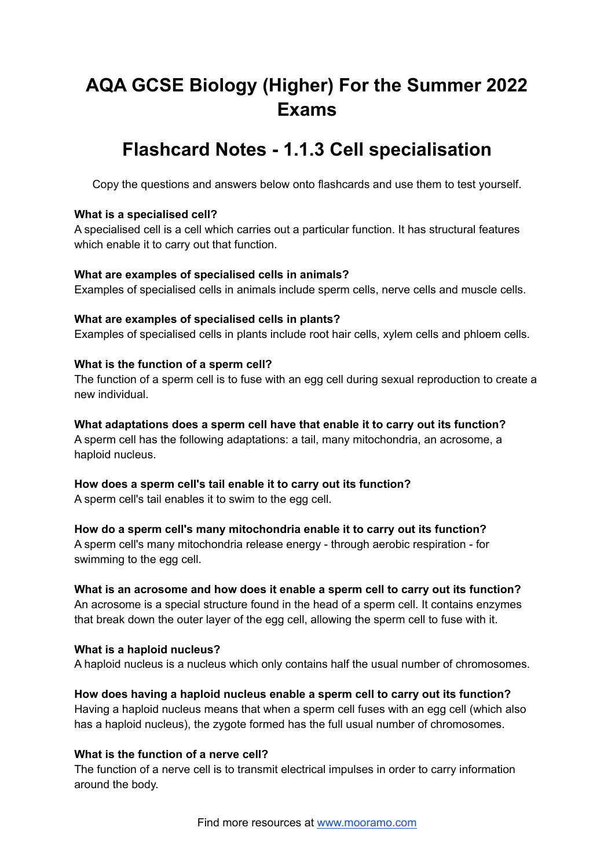# **AQA GCSE Biology (Higher) For the Summer 2022 Exams**

## **Flashcard Notes - 1.1.3 Cell specialisation**

Copy the questions and answers below onto flashcards and use them to test yourself.

#### **What is a specialised cell?**

A specialised cell is a cell which carries out a particular function. It has structural features which enable it to carry out that function.

## **What are examples of specialised cells in animals?**

Examples of specialised cells in animals include sperm cells, nerve cells and muscle cells.

## **What are examples of specialised cells in plants?**

Examples of specialised cells in plants include root hair cells, xylem cells and phloem cells.

## **What is the function of a sperm cell?**

The function of a sperm cell is to fuse with an egg cell during sexual reproduction to create a new individual.

## **What adaptations does a sperm cell have that enable it to carry out its function?**

A sperm cell has the following adaptations: a tail, many mitochondria, an acrosome, a haploid nucleus.

#### **How does a sperm cell's tail enable it to carry out its function?**

A sperm cell's tail enables it to swim to the egg cell.

#### **How do a sperm cell's many mitochondria enable it to carry out its function?**

A sperm cell's many mitochondria release energy - through aerobic respiration - for swimming to the egg cell.

## **What is an acrosome and how does it enable a sperm cell to carry out its function?**

An acrosome is a special structure found in the head of a sperm cell. It contains enzymes that break down the outer layer of the egg cell, allowing the sperm cell to fuse with it.

#### **What is a haploid nucleus?**

A haploid nucleus is a nucleus which only contains half the usual number of chromosomes.

## **How does having a haploid nucleus enable a sperm cell to carry out its function?**

Having a haploid nucleus means that when a sperm cell fuses with an egg cell (which also has a haploid nucleus), the zygote formed has the full usual number of chromosomes.

## **What is the function of a nerve cell?**

The function of a nerve cell is to transmit electrical impulses in order to carry information around the body.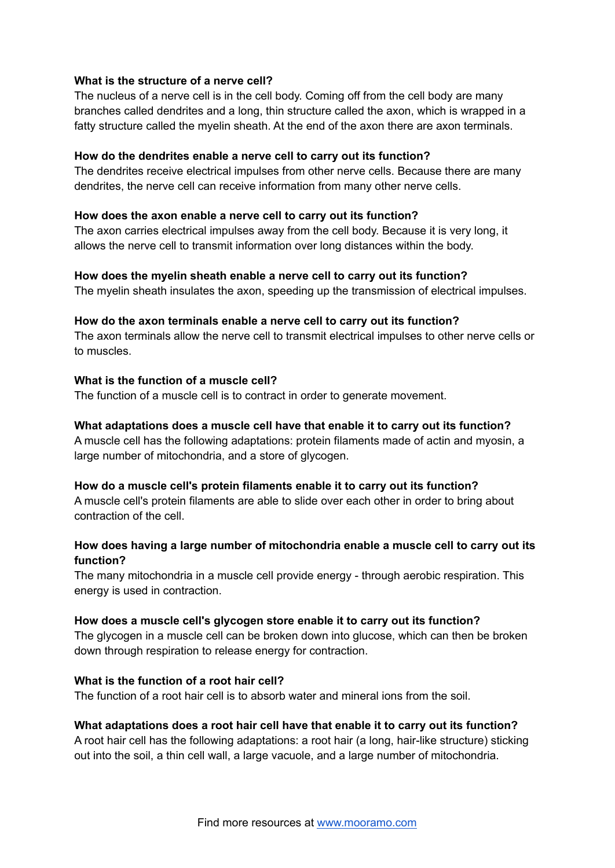#### **What is the structure of a nerve cell?**

The nucleus of a nerve cell is in the cell body. Coming off from the cell body are many branches called dendrites and a long, thin structure called the axon, which is wrapped in a fatty structure called the myelin sheath. At the end of the axon there are axon terminals.

#### **How do the dendrites enable a nerve cell to carry out its function?**

The dendrites receive electrical impulses from other nerve cells. Because there are many dendrites, the nerve cell can receive information from many other nerve cells.

#### **How does the axon enable a nerve cell to carry out its function?**

The axon carries electrical impulses away from the cell body. Because it is very long, it allows the nerve cell to transmit information over long distances within the body.

#### **How does the myelin sheath enable a nerve cell to carry out its function?**

The myelin sheath insulates the axon, speeding up the transmission of electrical impulses.

#### **How do the axon terminals enable a nerve cell to carry out its function?**

The axon terminals allow the nerve cell to transmit electrical impulses to other nerve cells or to muscles.

#### **What is the function of a muscle cell?**

The function of a muscle cell is to contract in order to generate movement.

#### **What adaptations does a muscle cell have that enable it to carry out its function?**

A muscle cell has the following adaptations: protein filaments made of actin and myosin, a large number of mitochondria, and a store of glycogen.

#### **How do a muscle cell's protein filaments enable it to carry out its function?**

A muscle cell's protein filaments are able to slide over each other in order to bring about contraction of the cell.

## **How does having a large number of mitochondria enable a muscle cell to carry out its function?**

The many mitochondria in a muscle cell provide energy - through aerobic respiration. This energy is used in contraction.

#### **How does a muscle cell's glycogen store enable it to carry out its function?**

The glycogen in a muscle cell can be broken down into glucose, which can then be broken down through respiration to release energy for contraction.

#### **What is the function of a root hair cell?**

The function of a root hair cell is to absorb water and mineral ions from the soil.

#### **What adaptations does a root hair cell have that enable it to carry out its function?**

A root hair cell has the following adaptations: a root hair (a long, hair-like structure) sticking out into the soil, a thin cell wall, a large vacuole, and a large number of mitochondria.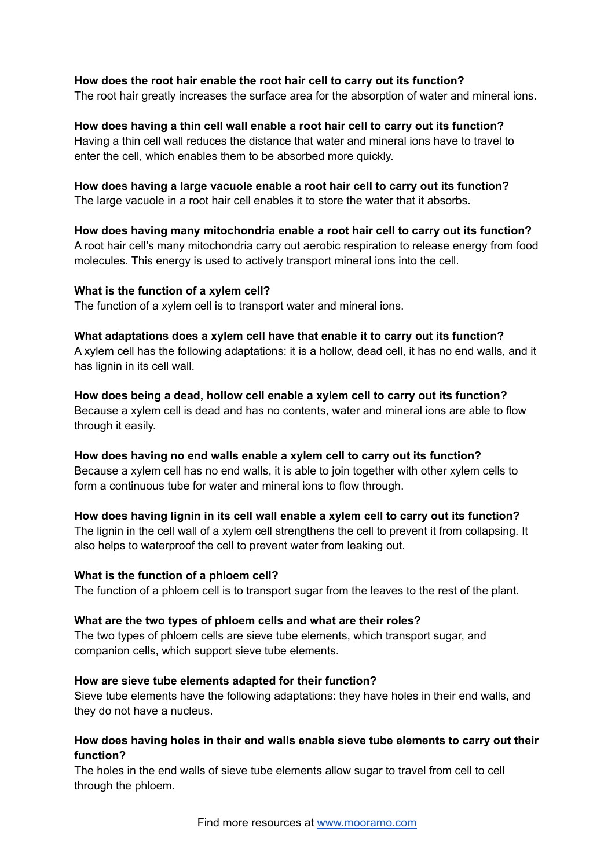#### **How does the root hair enable the root hair cell to carry out its function?**

The root hair greatly increases the surface area for the absorption of water and mineral ions.

## **How does having a thin cell wall enable a root hair cell to carry out its function?**

Having a thin cell wall reduces the distance that water and mineral ions have to travel to enter the cell, which enables them to be absorbed more quickly.

## **How does having a large vacuole enable a root hair cell to carry out its function?**

The large vacuole in a root hair cell enables it to store the water that it absorbs.

## **How does having many mitochondria enable a root hair cell to carry out its function?** A root hair cell's many mitochondria carry out aerobic respiration to release energy from food molecules. This energy is used to actively transport mineral ions into the cell.

## **What is the function of a xylem cell?**

The function of a xylem cell is to transport water and mineral ions.

#### **What adaptations does a xylem cell have that enable it to carry out its function?**

A xylem cell has the following adaptations: it is a hollow, dead cell, it has no end walls, and it has lignin in its cell wall.

#### **How does being a dead, hollow cell enable a xylem cell to carry out its function?**

Because a xylem cell is dead and has no contents, water and mineral ions are able to flow through it easily.

#### **How does having no end walls enable a xylem cell to carry out its function?**

Because a xylem cell has no end walls, it is able to join together with other xylem cells to form a continuous tube for water and mineral ions to flow through.

## **How does having lignin in its cell wall enable a xylem cell to carry out its function?**

The lignin in the cell wall of a xylem cell strengthens the cell to prevent it from collapsing. It also helps to waterproof the cell to prevent water from leaking out.

#### **What is the function of a phloem cell?**

The function of a phloem cell is to transport sugar from the leaves to the rest of the plant.

#### **What are the two types of phloem cells and what are their roles?**

The two types of phloem cells are sieve tube elements, which transport sugar, and companion cells, which support sieve tube elements.

#### **How are sieve tube elements adapted for their function?**

Sieve tube elements have the following adaptations: they have holes in their end walls, and they do not have a nucleus.

## **How does having holes in their end walls enable sieve tube elements to carry out their function?**

The holes in the end walls of sieve tube elements allow sugar to travel from cell to cell through the phloem.